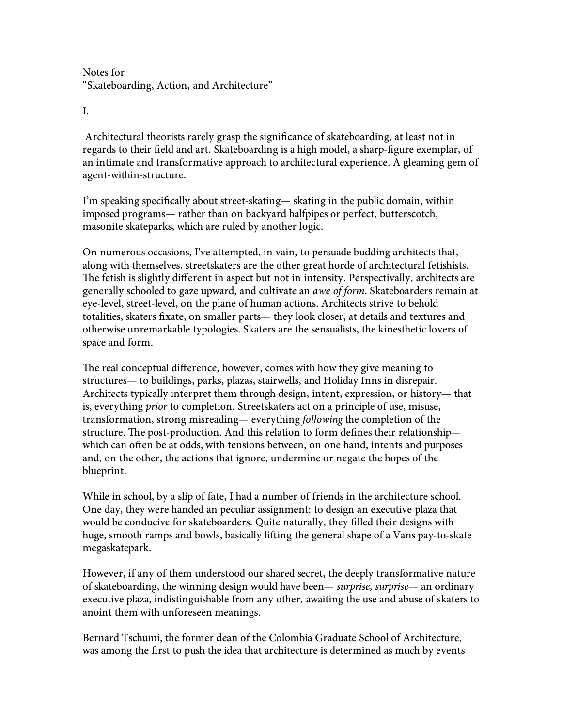Notes for "Skateboarding, Action, and Architecture"

I.

 Architectural theorists rarely grasp the significance of skateboarding, at least not in regards to their field and art. Skateboarding is a high model, a sharp-figure exemplar, of an intimate and transformative approach to architectural experience. A gleaming gem of agent-within-structure.

I'm speaking specifically about street-skating— skating in the public domain, within imposed programs— rather than on backyard halfpipes or perfect, butterscotch, masonite skateparks, which are ruled by another logic.

On numerous occasions, I've attempted, in vain, to persuade budding architects that, along with themselves, streetskaters are the other great horde of architectural fetishists. The fetish is slightly different in aspect but not in intensity. Perspectivally, architects are generally schooled to gaze upward, and cultivate an awe of form. Skateboarders remain at eye-level, street-level, on the plane of human actions. Architects strive to behold totalities; skaters fixate, on smaller parts— they look closer, at details and textures and otherwise unremarkable typologies. Skaters are the sensualists, the kinesthetic lovers of space and form.

The real conceptual difference, however, comes with how they give meaning to structures— to buildings, parks, plazas, stairwells, and Holiday Inns in disrepair. Architects typically interpret them through design, intent, expression, or history— that is, everything prior to completion. Streetskaters act on a principle of use, misuse, transformation, strong misreading— everything following the completion of the structure. The post-production. And this relation to form defines their relationship which can often be at odds, with tensions between, on one hand, intents and purposes and, on the other, the actions that ignore, undermine or negate the hopes of the blueprint.

While in school, by a slip of fate, I had a number of friends in the architecture school. One day, they were handed an peculiar assignment: to design an executive plaza that would be conducive for skateboarders. Quite naturally, they filled their designs with huge, smooth ramps and bowls, basically lifting the general shape of a Vans pay-to-skate megaskatepark.

However, if any of them understood our shared secret, the deeply transformative nature of skateboarding, the winning design would have been— surprise, surprise— an ordinary executive plaza, indistinguishable from any other, awaiting the use and abuse of skaters to anoint them with unforeseen meanings.

Bernard Tschumi, the former dean of the Colombia Graduate School of Architecture, was among the first to push the idea that architecture is determined as much by events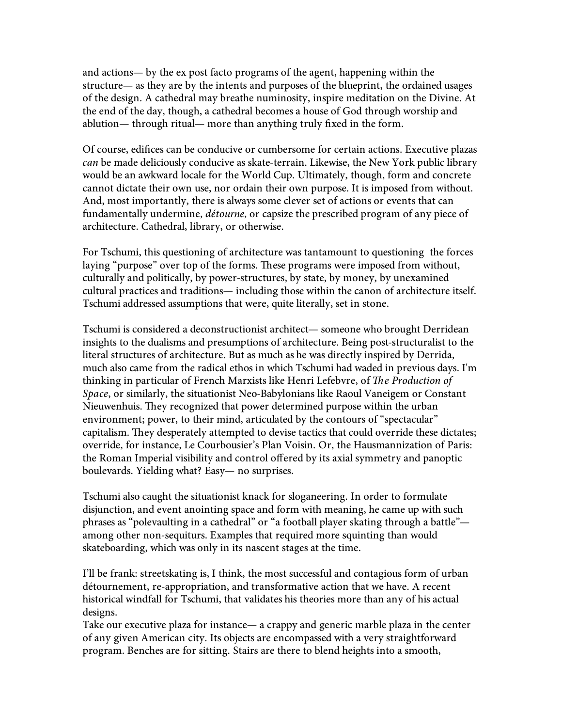and actions— by the ex post facto programs of the agent, happening within the structure— as they are by the intents and purposes of the blueprint, the ordained usages of the design. A cathedral may breathe numinosity, inspire meditation on the Divine. At the end of the day, though, a cathedral becomes a house of God through worship and ablution— through ritual— more than anything truly fixed in the form.

Of course, edifices can be conducive or cumbersome for certain actions. Executive plazas can be made deliciously conducive as skate-terrain. Likewise, the New York public library would be an awkward locale for the World Cup. Ultimately, though, form and concrete cannot dictate their own use, nor ordain their own purpose. It is imposed from without. And, most importantly, there is always some clever set of actions or events that can fundamentally undermine, détourne, or capsize the prescribed program of any piece of architecture. Cathedral, library, or otherwise.

For Tschumi, this questioning of architecture was tantamount to questioning the forces laying "purpose" over top of the forms. These programs were imposed from without, culturally and politically, by power-structures, by state, by money, by unexamined cultural practices and traditions— including those within the canon of architecture itself. Tschumi addressed assumptions that were, quite literally, set in stone.

Tschumi is considered a deconstructionist architect— someone who brought Derridean insights to the dualisms and presumptions of architecture. Being post-structuralist to the literal structures of architecture. But as much as he was directly inspired by Derrida, much also came from the radical ethos in which Tschumi had waded in previous days. I'm thinking in particular of French Marxists like Henri Lefebvre, of The Production of Space, or similarly, the situationist Neo-Babylonians like Raoul Vaneigem or Constant Nieuwenhuis. They recognized that power determined purpose within the urban environment; power, to their mind, articulated by the contours of "spectacular" capitalism. They desperately attempted to devise tactics that could override these dictates; override, for instance, Le Courbousier's Plan Voisin. Or, the Hausmannization of Paris: the Roman Imperial visibility and control offered by its axial symmetry and panoptic boulevards. Yielding what? Easy— no surprises.

Tschumi also caught the situationist knack for sloganeering. In order to formulate disjunction, and event anointing space and form with meaning, he came up with such phrases as "polevaulting in a cathedral" or "a football player skating through a battle" among other non-sequiturs. Examples that required more squinting than would skateboarding, which was only in its nascent stages at the time.

I'll be frank: streetskating is, I think, the most successful and contagious form of urban détournement, re-appropriation, and transformative action that we have. A recent historical windfall for Tschumi, that validates his theories more than any of his actual designs.

Take our executive plaza for instance— a crappy and generic marble plaza in the center of any given American city. Its objects are encompassed with a very straightforward program. Benches are for sitting. Stairs are there to blend heights into a smooth,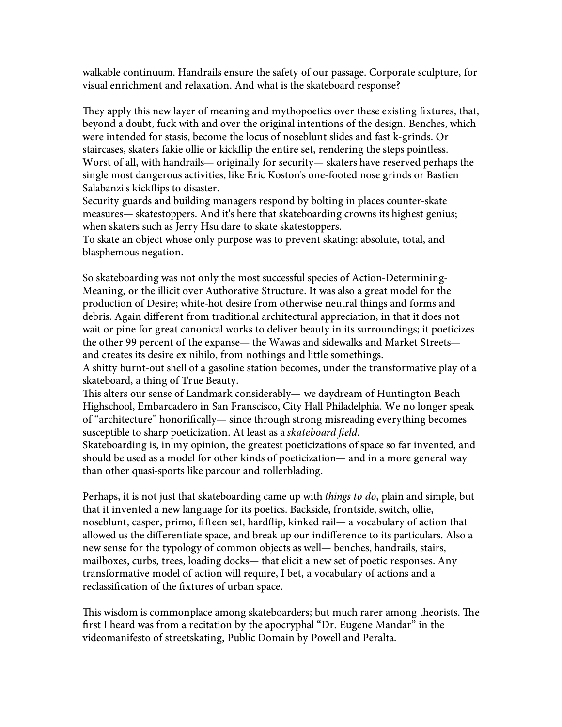walkable continuum. Handrails ensure the safety of our passage. Corporate sculpture, for visual enrichment and relaxation. And what is the skateboard response?

They apply this new layer of meaning and mythopoetics over these existing fixtures, that, beyond a doubt, fuck with and over the original intentions of the design. Benches, which were intended for stasis, become the locus of noseblunt slides and fast k-grinds. Or staircases, skaters fakie ollie or kickflip the entire set, rendering the steps pointless. Worst of all, with handrails— originally for security— skaters have reserved perhaps the single most dangerous activities, like Eric Koston's one-footed nose grinds or Bastien Salabanzi's kickflips to disaster.

Security guards and building managers respond by bolting in places counter-skate measures— skatestoppers. And it's here that skateboarding crowns its highest genius; when skaters such as Jerry Hsu dare to skate skatestoppers.

To skate an object whose only purpose was to prevent skating: absolute, total, and blasphemous negation.

So skateboarding was not only the most successful species of Action-Determining-Meaning, or the illicit over Authorative Structure. It was also a great model for the production of Desire; white-hot desire from otherwise neutral things and forms and debris. Again different from traditional architectural appreciation, in that it does not wait or pine for great canonical works to deliver beauty in its surroundings; it poeticizes the other 99 percent of the expanse— the Wawas and sidewalks and Market Streets and creates its desire ex nihilo, from nothings and little somethings.

A shitty burnt-out shell of a gasoline station becomes, under the transformative play of a skateboard, a thing of True Beauty.

This alters our sense of Landmark considerably— we daydream of Huntington Beach Highschool, Embarcadero in San Franscisco, City Hall Philadelphia. We no longer speak of "architecture" honorifically— since through strong misreading everything becomes susceptible to sharp poeticization. At least as a skateboard field.

Skateboarding is, in my opinion, the greatest poeticizations of space so far invented, and should be used as a model for other kinds of poeticization— and in a more general way than other quasi-sports like parcour and rollerblading.

Perhaps, it is not just that skateboarding came up with *things to do*, plain and simple, but that it invented a new language for its poetics. Backside, frontside, switch, ollie, noseblunt, casper, primo, fifteen set, hardflip, kinked rail— a vocabulary of action that allowed us the differentiate space, and break up our indifference to its particulars. Also a new sense for the typology of common objects as well— benches, handrails, stairs, mailboxes, curbs, trees, loading docks— that elicit a new set of poetic responses. Any transformative model of action will require, I bet, a vocabulary of actions and a reclassification of the fixtures of urban space.

This wisdom is commonplace among skateboarders; but much rarer among theorists. The first I heard was from a recitation by the apocryphal "Dr. Eugene Mandar" in the videomanifesto of streetskating, Public Domain by Powell and Peralta.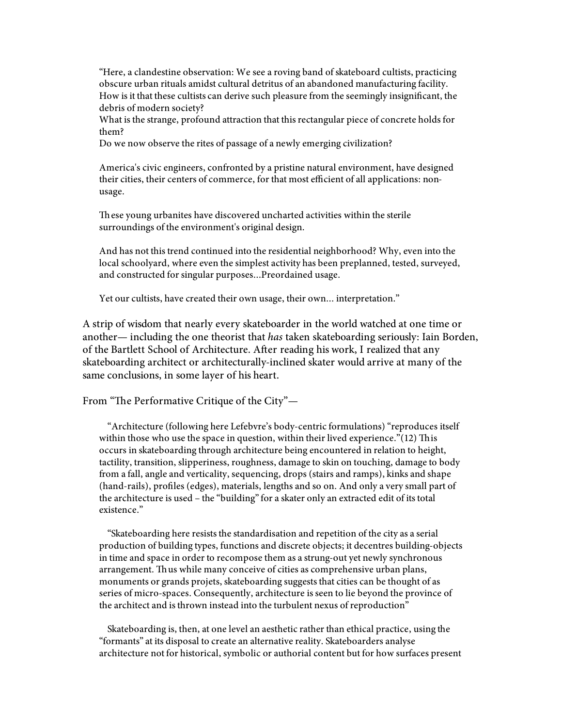"Here, a clandestine observation: We see a roving band of skateboard cultists, practicing obscure urban rituals amidst cultural detritus of an abandoned manufacturing facility. How is it that these cultists can derive such pleasure from the seemingly insignificant, the debris of modern society?

What is the strange, profound attraction that this rectangular piece of concrete holds for them?

Do we now observe the rites of passage of a newly emerging civilization?

America's civic engineers, confronted by a pristine natural environment, have designed their cities, their centers of commerce, for that most efficient of all applications: nonusage.

Th ese young urbanites have discovered uncharted activities within the sterile surroundings of the environment's original design.

And has not this trend continued into the residential neighborhood? Why, even into the local schoolyard, where even the simplest activity has been preplanned, tested, surveyed, and constructed for singular purposes...Preordained usage.

Yet our cultists, have created their own usage, their own... interpretation."

A strip of wisdom that nearly every skateboarder in the world watched at one time or another— including the one theorist that has taken skateboarding seriously: Iain Borden, of the Bartlett School of Architecture. After reading his work, I realized that any skateboarding architect or architecturally-inclined skater would arrive at many of the same conclusions, in some layer of his heart.

From "The Performative Critique of the City"-

"Architecture (following here Lefebvre's body-centric formulations) "reproduces itself within those who use the space in question, within their lived experience." $(12)$  This occurs in skateboarding through architecture being encountered in relation to height, tactility, transition, slipperiness, roughness, damage to skin on touching, damage to body from a fall, angle and verticality, sequencing, drops (stairs and ramps), kinks and shape (hand-rails), profiles (edges), materials, lengths and so on. And only a very small part of the architecture is used – the "building" for a skater only an extracted edit of its total existence."

"Skateboarding here resists the standardisation and repetition of the city as a serial production of building types, functions and discrete objects; it decentres building-objects in time and space in order to recompose them as a strung-out yet newly synchronous arrangement. Thus while many conceive of cities as comprehensive urban plans, monuments or grands projets, skateboarding suggests that cities can be thought of as series of micro-spaces. Consequently, architecture is seen to lie beyond the province of the architect and is thrown instead into the turbulent nexus of reproduction"

Skateboarding is, then, at one level an aesthetic rather than ethical practice, using the "formants" at its disposal to create an alternative reality. Skateboarders analyse architecture not for historical, symbolic or authorial content but for how surfaces present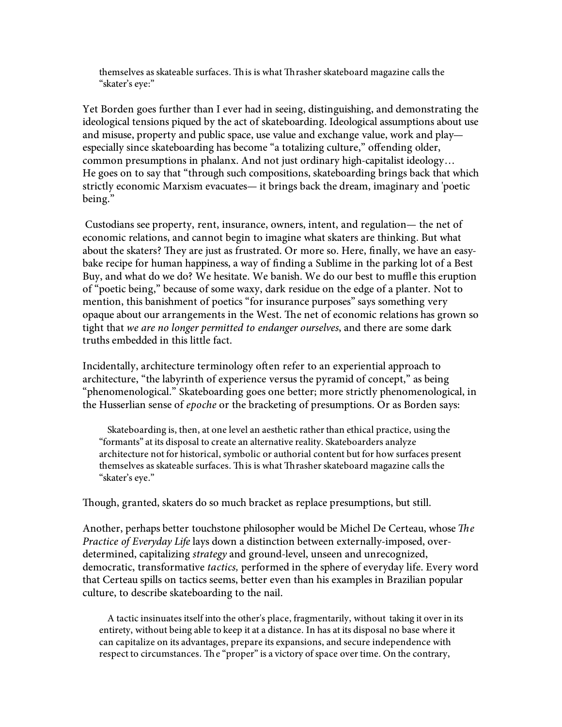themselves as skateable surfaces. This is what Thrasher skateboard magazine calls the "skater's eye:"

Yet Borden goes further than I ever had in seeing, distinguishing, and demonstrating the ideological tensions piqued by the act of skateboarding. Ideological assumptions about use and misuse, property and public space, use value and exchange value, work and play especially since skateboarding has become "a totalizing culture," offending older, common presumptions in phalanx. And not just ordinary high-capitalist ideology… He goes on to say that "through such compositions, skateboarding brings back that which strictly economic Marxism evacuates— it brings back the dream, imaginary and 'poetic being."

 Custodians see property, rent, insurance, owners, intent, and regulation— the net of economic relations, and cannot begin to imagine what skaters are thinking. But what about the skaters? They are just as frustrated. Or more so. Here, finally, we have an easybake recipe for human happiness, a way of finding a Sublime in the parking lot of a Best Buy, and what do we do? We hesitate. We banish. We do our best to muffle this eruption of "poetic being," because of some waxy, dark residue on the edge of a planter. Not to mention, this banishment of poetics "for insurance purposes" says something very opaque about our arrangements in the West. The net of economic relations has grown so tight that we are no longer permitted to endanger ourselves, and there are some dark truths embedded in this little fact.

Incidentally, architecture terminology often refer to an experiential approach to architecture, "the labyrinth of experience versus the pyramid of concept," as being "phenomenological." Skateboarding goes one better; more strictly phenomenological, in the Husserlian sense of epoche or the bracketing of presumptions. Or as Borden says:

Skateboarding is, then, at one level an aesthetic rather than ethical practice, using the "formants" at its disposal to create an alternative reality. Skateboarders analyze architecture not for historical, symbolic or authorial content but for how surfaces present themselves as skateable surfaces. This is what Thrasher skateboard magazine calls the "skater's eye."

Though, granted, skaters do so much bracket as replace presumptions, but still.

Another, perhaps better touchstone philosopher would be Michel De Certeau, whose  $The$ Practice of Everyday Life lays down a distinction between externally-imposed, overdetermined, capitalizing strategy and ground-level, unseen and unrecognized, democratic, transformative tactics, performed in the sphere of everyday life. Every word that Certeau spills on tactics seems, better even than his examples in Brazilian popular culture, to describe skateboarding to the nail.

A tactic insinuates itself into the other's place, fragmentarily, without taking it over in its entirety, without being able to keep it at a distance. In has at its disposal no base where it can capitalize on its advantages, prepare its expansions, and secure independence with respect to circumstances. The "proper" is a victory of space over time. On the contrary,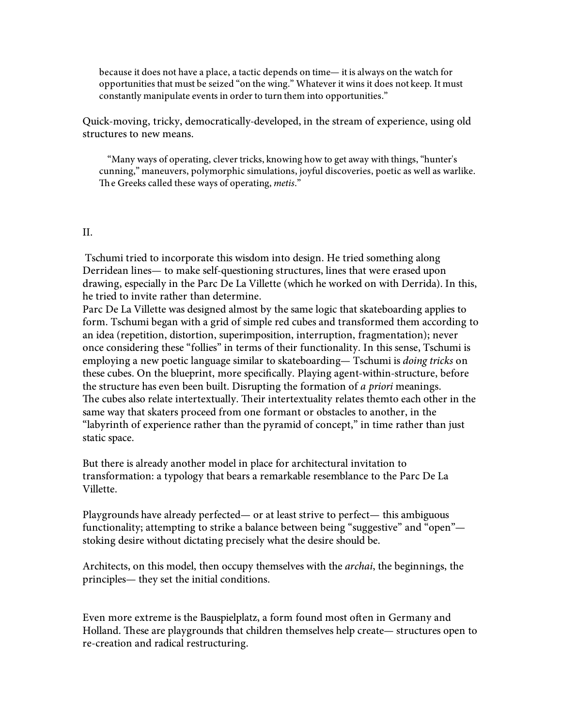because it does not have a place, a tactic depends on time— it is always on the watch for opportunities that must be seized "on the wing." Whatever it wins it does not keep. It must constantly manipulate events in order to turn them into opportunities."

Quick-moving, tricky, democratically-developed, in the stream of experience, using old structures to new means.

"Many ways of operating, clever tricks, knowing how to get away with things, "hunter's cunning," maneuvers, polymorphic simulations, joyful discoveries, poetic as well as warlike. The Greeks called these ways of operating, metis."

## II.

 Tschumi tried to incorporate this wisdom into design. He tried something along Derridean lines— to make self-questioning structures, lines that were erased upon drawing, especially in the Parc De La Villette (which he worked on with Derrida). In this, he tried to invite rather than determine.

Parc De La Villette was designed almost by the same logic that skateboarding applies to form. Tschumi began with a grid of simple red cubes and transformed them according to an idea (repetition, distortion, superimposition, interruption, fragmentation); never once considering these "follies" in terms of their functionality. In this sense, Tschumi is employing a new poetic language similar to skateboarding— Tschumi is *doing tricks* on these cubes. On the blueprint, more specifically. Playing agent-within-structure, before the structure has even been built. Disrupting the formation of a *priori* meanings. The cubes also relate intertextually. Their intertextuality relates themto each other in the same way that skaters proceed from one formant or obstacles to another, in the "labyrinth of experience rather than the pyramid of concept," in time rather than just static space.

But there is already another model in place for architectural invitation to transformation: a typology that bears a remarkable resemblance to the Parc De La Villette.

Playgrounds have already perfected— or at least strive to perfect— this ambiguous functionality; attempting to strike a balance between being "suggestive" and "open" stoking desire without dictating precisely what the desire should be.

Architects, on this model, then occupy themselves with the archai, the beginnings, the principles— they set the initial conditions.

Even more extreme is the Bauspielplatz, a form found most often in Germany and Holland. These are playgrounds that children themselves help create— structures open to re-creation and radical restructuring.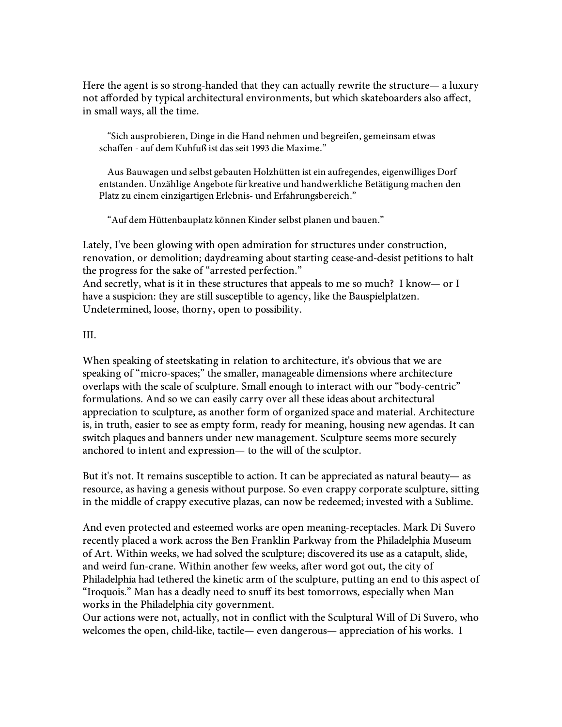Here the agent is so strong-handed that they can actually rewrite the structure— a luxury not afforded by typical architectural environments, but which skateboarders also affect, in small ways, all the time.

"Sich ausprobieren, Dinge in die Hand nehmen und begreifen, gemeinsam etwas schaffen - auf dem Kuhfuß ist das seit 1993 die Maxime."

Aus Bauwagen und selbst gebauten Holzhütten ist ein aufregendes, eigenwilliges Dorf entstanden. Unzählige Angebote für kreative und handwerkliche Betätigung machen den Platz zu einem einzigartigen Erlebnis- und Erfahrungsbereich."

"Auf dem Hüttenbauplatz können Kinder selbst planen und bauen."

Lately, I've been glowing with open admiration for structures under construction, renovation, or demolition; daydreaming about starting cease-and-desist petitions to halt the progress for the sake of "arrested perfection." And secretly, what is it in these structures that appeals to me so much? I know— or I have a suspicion: they are still susceptible to agency, like the Bauspielplatzen. Undetermined, loose, thorny, open to possibility.

III.

When speaking of steetskating in relation to architecture, it's obvious that we are speaking of "micro-spaces;" the smaller, manageable dimensions where architecture overlaps with the scale of sculpture. Small enough to interact with our "body-centric" formulations. And so we can easily carry over all these ideas about architectural appreciation to sculpture, as another form of organized space and material. Architecture is, in truth, easier to see as empty form, ready for meaning, housing new agendas. It can switch plaques and banners under new management. Sculpture seems more securely anchored to intent and expression— to the will of the sculptor.

But it's not. It remains susceptible to action. It can be appreciated as natural beauty— as resource, as having a genesis without purpose. So even crappy corporate sculpture, sitting in the middle of crappy executive plazas, can now be redeemed; invested with a Sublime.

And even protected and esteemed works are open meaning-receptacles. Mark Di Suvero recently placed a work across the Ben Franklin Parkway from the Philadelphia Museum of Art. Within weeks, we had solved the sculpture; discovered its use as a catapult, slide, and weird fun-crane. Within another few weeks, after word got out, the city of Philadelphia had tethered the kinetic arm of the sculpture, putting an end to this aspect of "Iroquois." Man has a deadly need to snuff its best tomorrows, especially when Man works in the Philadelphia city government.

Our actions were not, actually, not in conflict with the Sculptural Will of Di Suvero, who welcomes the open, child-like, tactile— even dangerous— appreciation of his works. I